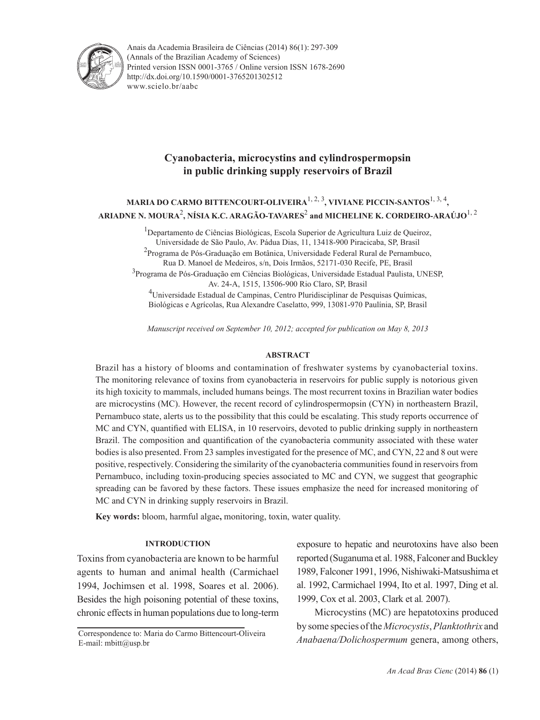

Anais da Academia Brasileira de Ciências (2014) 86(1): 297-309(Annals of the Brazilian Academy of Sciences) Printed version ISSN 0001-3765 / Online version ISSN 1678-2690 www.scielo.br/aabc http://dx.doi.org/10.1590/0001-3765201302512

# **Cyanobacteria, microcystins and cylindrospermopsin in public drinking supply reservoirs of Brazil**

# **MARIA DO CARMO BITTENCOURT-OLIVEIRA**1, 2, 3**, VIVIANE PICCIN-SANTOS**1, 3, 4**, ARIADNE N. MOURA**<sup>2</sup> **, NÍSIA K.C. ARAGÃO-TAVARES**<sup>2</sup>  **and MICHELINE K. CORDEIRO-ARAÚJO**1, 2

<sup>1</sup>Departamento de Ciências Biológicas, Escola Superior de Agricultura Luiz de Queiroz, Universidade de São Paulo, Av. Pádua Dias, 11, 13418-900 Piracicaba, SP, Brasil <sup>2</sup>Programa de Pós-Graduação em Botânica, Universidade Federal Rural de Pernambuco, Rua D. Manoel de Medeiros, s/n, Dois Irmãos, 52171-030 Recife, PE, Brasil <sup>3</sup>Programa de Pós-Graduação em Ciências Biológicas, Universidade Estadual Paulista, UNESP, Av. 24-A, 1515, 13506-900 Rio Claro, SP, Brasil <sup>4</sup>Universidade Estadual de Campinas, Centro Pluridisciplinar de Pesquisas Químicas, Biológicas e Agrícolas, Rua Alexandre Caselatto, 999, 13081-970 Paulínia, SP, Brasil

*Manuscript received on September 10, 2012; accepted for publication on May 8, 2013*

## **ABSTRACT**

Brazil has a history of blooms and contamination of freshwater systems by cyanobacterial toxins. The monitoring relevance of toxins from cyanobacteria in reservoirs for public supply is notorious given its high toxicity to mammals, included humans beings. The most recurrent toxins in Brazilian water bodies are microcystins (MC). However, the recent record of cylindrospermopsin (CYN) in northeastern Brazil, Pernambuco state, alerts us to the possibility that this could be escalating. This study reports occurrence of MC and CYN, quantified with ELISA, in 10 reservoirs, devoted to public drinking supply in northeastern Brazil. The composition and quantification of the cyanobacteria community associated with these water bodies is also presented. From 23 samples investigated for the presence of MC, and CYN, 22 and 8 out were positive, respectively. Considering the similarity of the cyanobacteria communities found in reservoirs from Pernambuco, including toxin-producing species associated to MC and CYN, we suggest that geographic spreading can be favored by these factors. These issues emphasize the need for increased monitoring of MC and CYN in drinking supply reservoirs in Brazil.

**Key words:** bloom, harmful algae**,** monitoring, toxin, water quality.

## **INTRODUCTION**

Toxins from cyanobacteria are known to be harmful agents to human and animal health (Carmichael 1994, Jochimsen et al. 1998, Soares et al. 2006). Besides the high poisoning potential of these toxins, chronic effects in human populations due to long-term

exposure to hepatic and neurotoxins have also been reported (Suganuma et al. 1988, Falconer and Buckley 1989, Falconer 1991, 1996, Nishiwaki-Matsushima et al. 1992, Carmichael 1994, Ito et al. 1997, Ding et al. 1999, Cox et al. 2003, Clark et al*.* 2007).

Microcystins (MC) are hepatotoxins produced by some species of the *Microcystis*, *Planktothrix* and *Anabaena/Dolichospermum* genera, among others,

Correspondence to: Maria do Carmo Bittencourt-Oliveira E-mail: mbitt@usp.br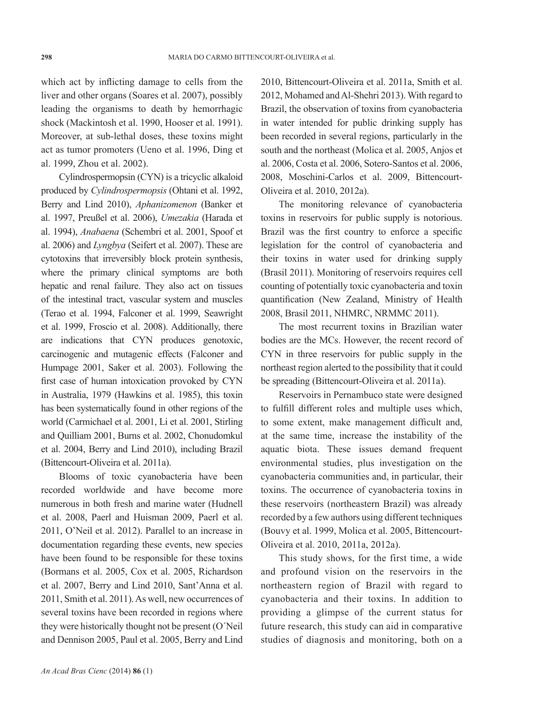which act by inflicting damage to cells from the liver and other organs (Soares et al. 2007), possibly leading the organisms to death by hemorrhagic shock (Mackintosh et al. 1990, Hooser et al. 1991). Moreover, at sub-lethal doses, these toxins might act as tumor promoters (Ueno et al. 1996, Ding et al. 1999, Zhou et al. 2002).

Cylindrospermopsin (CYN) is a tricyclic alkaloid produced by *Cylindrospermopsis* (Ohtani et al. 1992, Berry and Lind 2010), *Aphanizomenon* (Banker et al. 1997, Preußel et al. 2006), *Umezakia* (Harada et al. 1994), *Anabaena* (Schembri et al. 2001, Spoof et al. 2006) and *Lyngbya* (Seifert et al. 2007). These are cytotoxins that irreversibly block protein synthesis, where the primary clinical symptoms are both hepatic and renal failure. They also act on tissues of the intestinal tract, vascular system and muscles (Terao et al. 1994, Falconer et al. 1999, Seawright et al. 1999, Froscio et al. 2008). Additionally, there are indications that CYN produces genotoxic, carcinogenic and mutagenic effects (Falconer and Humpage 2001, Saker et al. 2003). Following the first case of human intoxication provoked by CYN in Australia, 1979 (Hawkins et al. 1985), this toxin has been systematically found in other regions of the world (Carmichael et al. 2001, Li et al. 2001, Stirling and Quilliam 2001, Burns et al. 2002, Chonudomkul et al. 2004, Berry and Lind 2010), including Brazil (Bittencourt-Oliveira et al. 2011a).

Blooms of toxic cyanobacteria have been recorded worldwide and have become more numerous in both fresh and marine water (Hudnell et al. 2008, Paerl and Huisman 2009, Paerl et al. 2011, O'Neil et al. 2012). Parallel to an increase in documentation regarding these events, new species have been found to be responsible for these toxins (Bormans et al. 2005, Cox et al. 2005, Richardson et al. 2007, Berry and Lind 2010, Sant'Anna et al. 2011, Smith et al. 2011). As well, new occurrences of several toxins have been recorded in regions where they were historically thought not be present (O´Neil and Dennison 2005, Paul et al. 2005, Berry and Lind 2010, Bittencourt-Oliveira et al. 2011a, Smith et al. 2012, Mohamed and Al-Shehri 2013). With regard to Brazil, the observation of toxins from cyanobacteria in water intended for public drinking supply has been recorded in several regions, particularly in the south and the northeast (Molica et al. 2005, Anjos et al. 2006, Costa et al. 2006, Sotero-Santos et al. 2006, 2008, Moschini-Carlos et al. 2009, Bittencourt-Oliveira et al. 2010, 2012a).

The monitoring relevance of cyanobacteria toxins in reservoirs for public supply is notorious. Brazil was the first country to enforce a specific legislation for the control of cyanobacteria and their toxins in water used for drinking supply (Brasil 2011). Monitoring of reservoirs requires cell counting of potentially toxic cyanobacteria and toxin quantification (New Zealand, Ministry of Health 2008, Brasil 2011, NHMRC, NRMMC 2011).

The most recurrent toxins in Brazilian water bodies are the MCs. However, the recent record of CYN in three reservoirs for public supply in the northeast region alerted to the possibility that it could be spreading (Bittencourt-Oliveira et al. 2011a).

Reservoirs in Pernambuco state were designed to fulfill different roles and multiple uses which, to some extent, make management difficult and, at the same time, increase the instability of the aquatic biota. These issues demand frequent environmental studies, plus investigation on the cyanobacteria communities and, in particular, their toxins. The occurrence of cyanobacteria toxins in these reservoirs (northeastern Brazil) was already recorded by a few authors using different techniques (Bouvy et al. 1999, Molica et al. 2005, Bittencourt-Oliveira et al. 2010, 2011a, 2012a).

This study shows, for the first time, a wide and profound vision on the reservoirs in the northeastern region of Brazil with regard to cyanobacteria and their toxins. In addition to providing a glimpse of the current status for future research, this study can aid in comparative studies of diagnosis and monitoring, both on a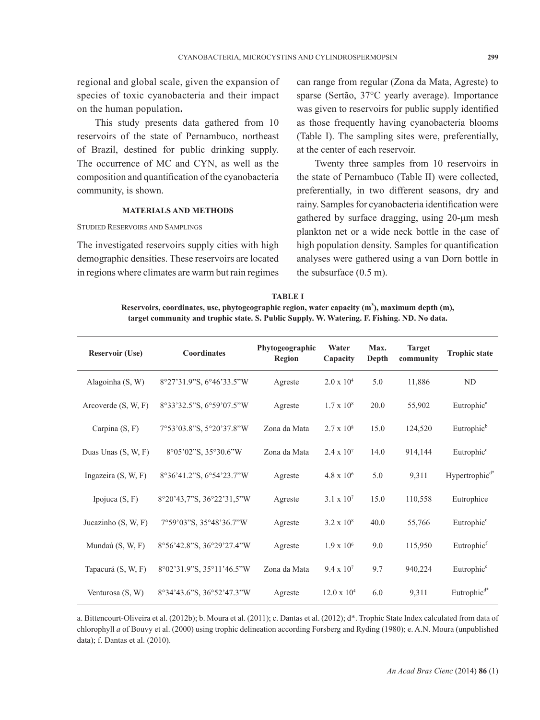regional and global scale, given the expansion of species of toxic cyanobacteria and their impact on the human population**.**

This study presents data gathered from 10 reservoirs of the state of Pernambuco, northeast of Brazil, destined for public drinking supply. The occurrence of MC and CYN, as well as the composition and quantification of the cyanobacteria community, is shown.

### **MATERIALS AND METHODS**

STUDIED RESERVOIRS AND SAMPLINGS

The investigated reservoirs supply cities with high demographic densities. These reservoirs are located in regions where climates are warm but rain regimes can range from regular (Zona da Mata, Agreste) to sparse (Sertão, 37°C yearly average). Importance was given to reservoirs for public supply identified as those frequently having cyanobacteria blooms (Table I). The sampling sites were, preferentially, at the center of each reservoir.

Twenty three samples from 10 reservoirs in the state of Pernambuco (Table II) were collected, preferentially, in two different seasons, dry and rainy. Samples for cyanobacteria identification were gathered by surface dragging, using 20-µm mesh plankton net or a wide neck bottle in the case of high population density. Samples for quantification analyses were gathered using a van Dorn bottle in the subsurface (0.5 m).

| <b>TABLE I</b>                                                                                             |
|------------------------------------------------------------------------------------------------------------|
| Reservoirs, coordinates, use, phytogeographic region, water capacity (m <sup>3</sup> ), maximum depth (m), |
| target community and trophic state. S. Public Supply. W. Watering. F. Fishing. ND. No data.                |

| <b>Reservoir (Use)</b> | Coordinates               | Phytogeographic<br>Region | Max.<br>Water<br>Capacity<br>Depth |      | <b>Target</b><br>community | <b>Trophic state</b>       |
|------------------------|---------------------------|---------------------------|------------------------------------|------|----------------------------|----------------------------|
| Alagoinha (S, W)       | 8°27'31.9"S, 6°46'33.5"W  | Agreste                   | $2.0 \times 10^{4}$                | 5.0  | 11,886                     | ND.                        |
| Arcoverde $(S, W, F)$  | 8°33'32.5"S, 6°59'07.5"W  | Agreste                   | $1.7 \times 10^8$                  | 20.0 | 55,902                     | Eutrophic <sup>a</sup>     |
| Carpina (S, F)         | 7°53'03.8"S, 5°20'37.8"W  | Zona da Mata              | $2.7 \times 10^8$                  | 15.0 | 124,520                    | Eutrophic <sup>b</sup>     |
| Duas Unas (S, W, F)    | 8°05'02"S, 35°30.6"W      | Zona da Mata              | $2.4 \times 10^{7}$                | 14.0 | 914,144                    | Eutrophic <sup>c</sup>     |
| Ingazeira (S, W, F)    | 8°36'41.2"S, 6°54'23.7"W  | Agreste                   | $4.8 \times 10^{6}$                | 5.0  | 9,311                      | Hypertrophic <sup>d*</sup> |
| Ipojuca $(S, F)$       | 8°20'43,7"S, 36°22'31,5"W | Agreste                   | $3.1 \times 10^{7}$                | 15.0 | 110,558                    | Eutrophice                 |
| Jucazinho $(S, W, F)$  | 7°59'03"S, 35°48'36.7"W   | Agreste                   | $3.2 \times 10^8$                  | 40.0 | 55,766                     | Eutrophic <sup>c</sup>     |
| Mundaú (S, W, F)       | 8°56'42.8"S, 36°29'27.4"W | Agreste                   | $1.9 \times 10^6$                  | 9.0  | 115,950                    | Eutrophic <sup>f</sup>     |
| Tapacurá (S, W, F)     | 8°02'31.9"S, 35°11'46.5"W | Zona da Mata              | $9.4 \times 10^{7}$                | 9.7  | 940,224                    | Eutrophic <sup>c</sup>     |
| Venturosa (S, W)       | 8°34'43.6"S, 36°52'47.3"W | Agreste                   | $12.0 \times 10^{4}$               | 6.0  | 9,311                      | Eutrophic $d^*$            |

a. Bittencourt-Oliveira et al. (2012b); b. Moura et al. (2011); c. Dantas et al. (2012); d\*. Trophic State Index calculated from data of chlorophyll *a* of Bouvy et al. (2000) using trophic delineation according Forsberg and Ryding (1980); e. A.N. Moura (unpublished data); f. Dantas et al. (2010).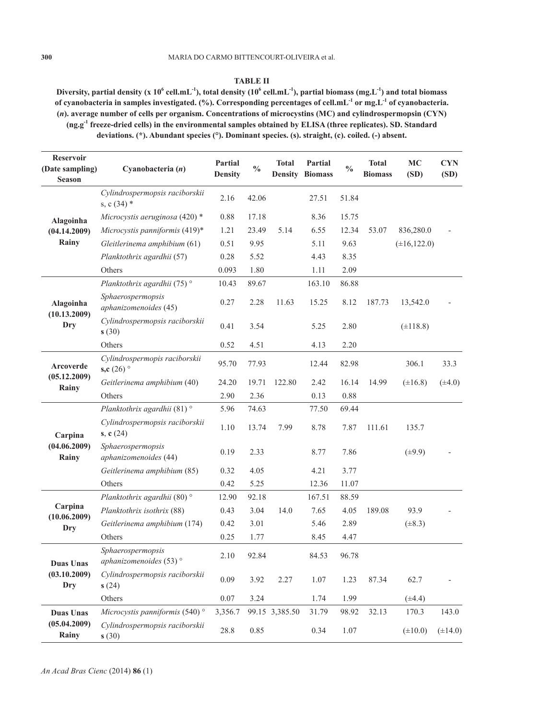## **TABLE II**

**Diversity, partial density (x 10<sup>6</sup> cell.mL-1), total density (10<sup>6</sup> cell.mL-1), partial biomass (mg.L-1) and total biomass of cyanobacteria in samples investigated. (%). Corresponding percentages of cell.mL-1 or mg.L-1 of cyanobacteria. (***n***). average number of cells per organism. Concentrations of microcystins (MC) and cylindrospermopsin (CYN) (ng.g-1 freeze-dried cells) in the environmental samples obtained by ELISA (three replicates). SD. Standard deviations. (\*). Abundant species (°). Dominant species. (s). straight, (c). coiled. (-) absent.**

| <b>Reservoir</b><br>(Date sampling)<br><b>Season</b> | Cyanobacteria $(n)$                             | Partial<br><b>Density</b> | $\frac{0}{0}$ | <b>Total</b>   | Partial<br><b>Density Biomass</b> | $\frac{0}{0}$ | <b>Total</b><br><b>Biomass</b> | MC<br>(SD)        | <b>CYN</b><br>(SD) |
|------------------------------------------------------|-------------------------------------------------|---------------------------|---------------|----------------|-----------------------------------|---------------|--------------------------------|-------------------|--------------------|
|                                                      | Cylindrospermopsis raciborskii<br>s, c $(34)$ * | 2.16                      | 42.06         |                | 27.51                             | 51.84         |                                |                   |                    |
| Alagoinha                                            | Microcystis aeruginosa $(420)$ *                | 0.88                      | 17.18         |                | 8.36                              | 15.75         |                                |                   |                    |
| (04.14.2009)                                         | Microcystis panniformis (419)*                  | 1.21                      | 23.49         | 5.14           | 6.55                              | 12.34         | 53.07                          | 836,280.0         |                    |
| Rainy                                                | Gleitlerinema amphibium (61)                    | 0.51                      | 9.95          |                | 5.11                              | 9.63          |                                | $(\pm 16, 122.0)$ |                    |
|                                                      | Planktothrix agardhii (57)                      | 0.28                      | 5.52          |                | 4.43                              | 8.35          |                                |                   |                    |
|                                                      | Others                                          | 0.093                     | 1.80          |                | 1.11                              | 2.09          |                                |                   |                    |
|                                                      | Planktothrix agardhii (75) <sup>°</sup>         | 10.43                     | 89.67         |                | 163.10                            | 86.88         |                                |                   |                    |
| Alagoinha<br>(10.13.2009)<br>Dry                     | Sphaerospermopsis<br>aphanizomenoides (45)      | 0.27                      | 2.28          | 11.63          | 15.25                             | 8.12          | 187.73                         | 13,542.0          |                    |
|                                                      | Cylindrospermopsis raciborskii<br>s(30)         | 0.41                      | 3.54          |                | 5.25                              | 2.80          |                                | $(\pm 118.8)$     |                    |
|                                                      | Others                                          | 0.52                      | 4.51          |                | 4.13                              | 2.20          |                                |                   |                    |
| Arcoverde                                            | Cylindrospermopis raciborskii<br>s,c $(26)$ °   | 95.70                     | 77.93         |                | 12.44                             | 82.98         |                                | 306.1             | 33.3               |
| (05.12.2009)<br>Rainy                                | Geitlerinema amphibium (40)                     | 24.20                     | 19.71         | 122.80         | 2.42                              | 16.14         | 14.99                          | $(\pm 16.8)$      | $(\pm 4.0)$        |
|                                                      | Others                                          | 2.90                      | 2.36          |                | 0.13                              | 0.88          |                                |                   |                    |
|                                                      | Planktothrix agardhii (81) <sup>°</sup>         | 5.96                      | 74.63         |                | 77.50                             | 69.44         |                                |                   |                    |
| Carpina                                              | Cylindrospermopsis raciborskii<br>s, $c(24)$    | 1.10                      | 13.74         | 7.99           | 8.78                              | 7.87          | 111.61                         | 135.7             |                    |
| (04.06.2009)<br>Rainy                                | Sphaerospermopsis<br>aphanizomenoides (44)      | 0.19                      | 2.33          |                | 8.77                              | 7.86          |                                | $(\pm 9.9)$       |                    |
|                                                      | Geitlerinema amphibium (85)                     | 0.32                      | 4.05          |                | 4.21                              | 3.77          |                                |                   |                    |
|                                                      | Others                                          | 0.42                      | 5.25          |                | 12.36                             | 11.07         |                                |                   |                    |
|                                                      | Planktothrix agardhii (80)°                     | 12.90                     | 92.18         |                | 167.51                            | 88.59         |                                |                   |                    |
| Carpina<br>(10.06.2009)                              | Planktothrix isothrix (88)                      | 0.43                      | 3.04          | 14.0           | 7.65                              | 4.05          | 189.08                         | 93.9              |                    |
| Dry                                                  | Geitlerinema amphibium (174)                    | 0.42                      | 3.01          |                | 5.46                              | 2.89          |                                | $(\pm 8.3)$       |                    |
|                                                      | Others                                          | 0.25                      | 1.77          |                | 8.45                              | 4.47          |                                |                   |                    |
| <b>Duas Unas</b><br>(03.10.2009)<br>Dry              | Sphaerospermopsis<br>aphanizomenoides $(53)$ °  | 2.10                      | 92.84         |                | 84.53                             | 96.78         |                                |                   |                    |
|                                                      | Cylindrospermopsis raciborskii<br>s(24)         | 0.09                      | 3.92          | 2.27           | 1.07                              | 1.23          | 87.34                          | 62.7              |                    |
|                                                      | Others                                          | $0.07\,$                  | 3.24          |                | 1.74                              | 1.99          |                                | $(\pm 4.4)$       |                    |
| <b>Duas Unas</b><br>(05.04.2009)<br>Rainy            | Microcystis panniformis (540) <sup>°</sup>      | 3,356.7                   |               | 99.15 3,385.50 | 31.79                             | 98.92         | 32.13                          | 170.3             | 143.0              |
|                                                      | Cylindrospermopsis raciborskii<br>s(30)         | 28.8                      | 0.85          |                | 0.34                              | 1.07          |                                | $(\pm 10.0)$      | $(\pm 14.0)$       |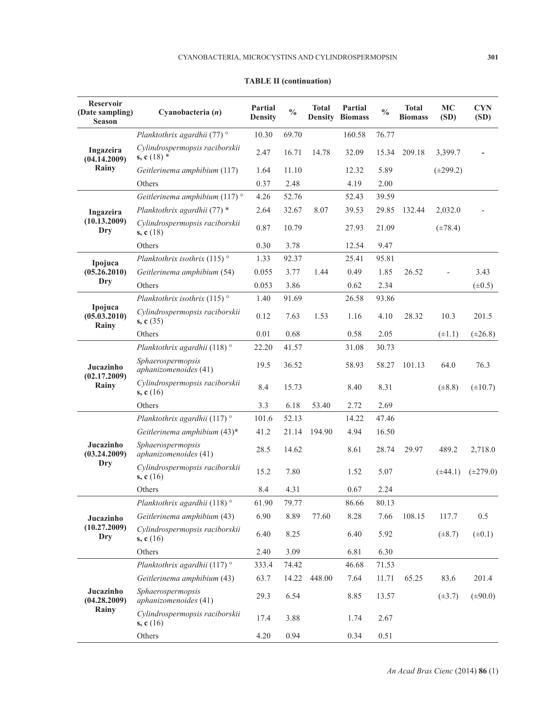| <b>Reservoir</b><br>(Date sampling)<br><b>Season</b> | Cyanobacteria (n)                               | Partial<br><b>Density</b> | $\frac{0}{0}$ | <b>Total</b><br><b>Density</b> | Partial<br><b>Biomass</b> | $\frac{0}{0}$ | <b>Total</b><br><b>Biomass</b> | <b>MC</b><br>(SD) | <b>CYN</b><br>(SD) |
|------------------------------------------------------|-------------------------------------------------|---------------------------|---------------|--------------------------------|---------------------------|---------------|--------------------------------|-------------------|--------------------|
| Ingazeira<br>(04.14.2009)                            | Planktothrix agardhii (77) °                    | 10.30                     | 69.70         |                                | 160.58                    | 76.77         |                                |                   |                    |
|                                                      | Cylindrospermopsis raciborskii<br>s, c $(18)$ * | 2.47                      | 16.71         | 14.78                          | 32.09                     | 15.34         | 209.18                         | 3,399.7           |                    |
| Rainy                                                | Geitlerinema amphibium (117)                    | 1.64                      | 11.10         |                                | 12.32                     | 5.89          |                                | $(\pm 299.2)$     |                    |
|                                                      | Others                                          | 0.37                      | 2.48          |                                | 4.19                      | 2.00          |                                |                   |                    |
|                                                      | Geitlerinema amphibium (117) <sup>°</sup>       | 4.26                      | 52.76         |                                | 52.43                     | 39.59         |                                |                   |                    |
| Ingazeira                                            | Planktothrix agardhii (77) *                    | 2.64                      | 32.67         | 8.07                           | 39.53                     | 29.85         | 132.44                         | 2,032.0           |                    |
| (10.13.2009)<br>Dry                                  | Cylindrospermopsis raciborskii<br>s, $c(18)$    | 0.87                      | 10.79         |                                | 27.93                     | 21.09         |                                | $(\pm 78.4)$      |                    |
|                                                      | Others                                          | 0.30                      | 3.78          |                                | 12.54                     | 9.47          |                                |                   |                    |
| Ipojuca                                              | Planktothrix isothrix (115) $\circ$             | 1.33                      | 92.37         |                                | 25.41                     | 95.81         |                                |                   |                    |
| (05.26.2010)                                         | Geitlerinema amphibium (54)                     | 0.055                     | 3.77          | 1.44                           | 0.49                      | 1.85          | 26.52                          |                   | 3.43               |
| Dry                                                  | Others                                          | 0.053                     | 3.86          |                                | 0.62                      | 2.34          |                                |                   | $(\pm 0.5)$        |
|                                                      | Planktothrix isothrix (115) $^{\circ}$          | 1.40                      | 91.69         |                                | 26.58                     | 93.86         |                                |                   |                    |
| Ipojuca<br>(05.03.2010)<br>Rainy                     | Cylindrospermopsis raciborskii<br>s, $c(35)$    | 0.12                      | 7.63          | 1.53                           | 1.16                      | 4.10          | 28.32                          | 10.3              | 201.5              |
|                                                      | Others                                          | 0.01                      | 0.68          |                                | 0.58                      | 2.05          |                                | $(\pm 1.1)$       | $(\pm 26.8)$       |
| Jucazinho                                            | Planktothrix agardhii (118) <sup>°</sup>        | 22.20                     | 41.57         |                                | 31.08                     | 30.73         |                                |                   |                    |
|                                                      | Sphaerospermopsis<br>aphanizomenoides (41)      | 19.5                      | 36.52         |                                | 58.93                     | 58.27         | 101.13                         | 64.0              | 76.3               |
| (02.17.2009)<br>Rainy                                | Cylindrospermopsis raciborskii<br>s, $c(16)$    | 8.4                       | 15.73         |                                | 8.40                      | 8.31          |                                | $(\pm 8.8)$       | $(\pm 10.7)$       |
|                                                      | Others                                          | 3.3                       | 6.18          | 53.40                          | 2.72                      | 2.69          |                                |                   |                    |
|                                                      | Planktothrix agardhii (117) °                   | 101.6                     | 52.13         |                                | 14.22                     | 47.46         |                                |                   |                    |
|                                                      | Geitlerinema amphibium (43)*                    | 41.2                      | 21.14         | 194.90                         | 4.94                      | 16.50         |                                |                   |                    |
| Jucazinho<br>(03.24.2009)                            | Sphaerospermopsis<br>aphanizomenoides (41)      | 28.5                      | 14.62         |                                | 8.61                      | 28.74         | 29.97                          | 489.2             | 2,718.0            |
| Dry                                                  | Cylindrospermopsis raciborskii<br>s, $c(16)$    | 15.2                      | 7.80          |                                | 1.52                      | 5.07          |                                | $(\pm 44.1)$      | $(\pm 279.0)$      |
|                                                      | Others                                          | 8.4                       | 4.31          |                                | 0.67                      | 2.24          |                                |                   |                    |
|                                                      | Planktothrix agardhii (118) °                   | 61.90                     | 79.77         |                                | 86.66                     | 80.13         |                                |                   |                    |
| Jucazinho                                            | Geitlerinema amphibium (43)                     | 6.90                      | 8.89          | 77.60                          | 8.28                      | 7.66          | 108.15                         | 117.7             | 0.5                |
| (10.27.2009)<br>Dry                                  | Cylindrospermopsis raciborskii<br>s, $c(16)$    | 6.40                      | 8.25          |                                | 6.40                      | 5.92          |                                | $(\pm 8.7)$       | $(\pm 0.1)$        |
|                                                      | Others                                          | 2.40                      | 3.09          |                                | 6.81                      | 6.30          |                                |                   |                    |
| Jucazinho<br>(04.28.2009)<br>Rainy                   | Planktothrix agardhii (117) °                   | 333.4                     | 74.42         |                                | 46.68                     | 71.53         |                                |                   |                    |
|                                                      | Geitlerinema amphibium (43)                     | 63.7                      | 14.22         | 448.00                         | 7.64                      | 11.71         | 65.25                          | 83.6              | 201.4              |
|                                                      | Sphaerospermopsis<br>aphanizomenoides (41)      | 29.3                      | 6.54          |                                | 8.85                      | 13.57         |                                | $(\pm 3.7)$       | $(\pm 90.0)$       |
|                                                      | Cylindrospermopsis raciborskii<br>s, $c(16)$    | 17.4                      | 3.88          |                                | 1.74                      | 2.67          |                                |                   |                    |
|                                                      | Others                                          | 4.20                      | 0.94          |                                | 0.34                      | 0.51          |                                |                   |                    |

# **TABLE II (continuation)**

*An Acad Bras Cienc* (2014) **86** (1)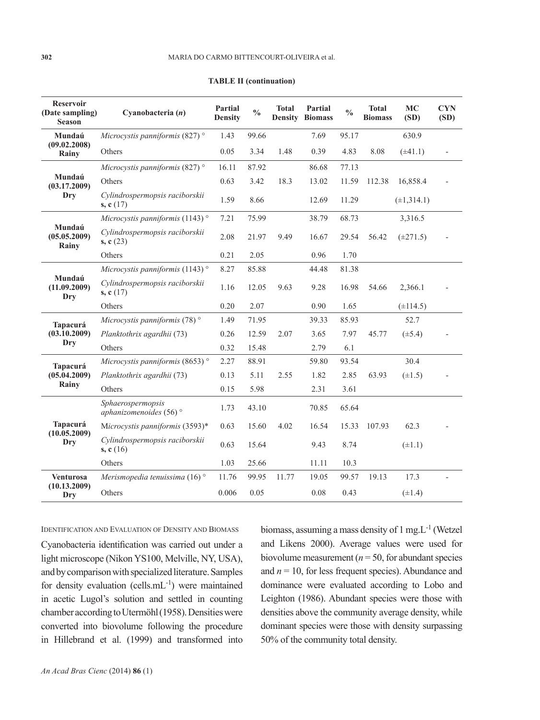| <b>Reservoir</b><br>(Date sampling)<br>Season | Cyanobacteria $(n)$                                     | Partial<br><b>Density</b> | $\frac{0}{0}$ | <b>Total</b><br><b>Density</b> | Partial<br><b>Biomass</b> | $\frac{0}{0}$ | <b>Total</b><br><b>Biomass</b> | <b>MC</b><br>(SD) | <b>CYN</b><br>(SD) |
|-----------------------------------------------|---------------------------------------------------------|---------------------------|---------------|--------------------------------|---------------------------|---------------|--------------------------------|-------------------|--------------------|
| Mundaú                                        | Microcystis panniformis (827) $^{\circ}$                | 1.43                      | 99.66         |                                | 7.69                      | 95.17         |                                | 630.9             |                    |
| (09.02.2008)<br>Rainy                         | Others                                                  | 0.05                      | 3.34          | 1.48                           | 0.39                      | 4.83          | 8.08                           | $(\pm 41.1)$      |                    |
|                                               | Microcystis panniformis (827) $\degree$                 | 16.11                     | 87.92         |                                | 86.68                     | 77.13         |                                |                   |                    |
| Mundaú<br>(03.17.2009)                        | Others                                                  | 0.63                      | 3.42          | 18.3                           | 13.02                     | 11.59         | 112.38                         | 16,858.4          |                    |
| Dry                                           | Cylindrospermopsis raciborskii<br>s, $c(17)$            | 1.59                      | 8.66          |                                | 12.69                     | 11.29         |                                | $(\pm 1, 314.1)$  |                    |
|                                               | Microcystis panniformis (1143) $\degree$                | 7.21                      | 75.99         |                                | 38.79                     | 68.73         |                                | 3,316.5           |                    |
| Mundaú<br>(05.05.2009)<br>Rainy               | Cylindrospermopsis raciborskii<br>s, $c(23)$            | 2.08                      | 21.97         | 9.49                           | 16.67                     | 29.54         | 56.42                          | $(\pm 271.5)$     |                    |
|                                               | Others                                                  | 0.21                      | 2.05          |                                | 0.96                      | 1.70          |                                |                   |                    |
| Mundaú<br>(11.09.2009)<br>Dry                 | Microcystis panniformis (1143) $\degree$                | 8.27                      | 85.88         |                                | 44.48                     | 81.38         |                                |                   |                    |
|                                               | Cylindrospermopsis raciborskii<br>s, $c(17)$            | 1.16                      | 12.05         | 9.63                           | 9.28                      | 16.98         | 54.66                          | 2,366.1           |                    |
|                                               | Others                                                  | 0.20                      | 2.07          |                                | 0.90                      | 1.65          |                                | $(\pm 114.5)$     |                    |
| Tapacurá<br>$(03.\overline{1}0.2009)$         | Microcystis panniformis (78) $\degree$                  | 1.49                      | 71.95         |                                | 39.33                     | 85.93         |                                | 52.7              |                    |
|                                               | Planktothrix agardhii (73)                              | 0.26                      | 12.59         | 2.07                           | 3.65                      | 7.97          | 45.77                          | $(\pm 5.4)$       |                    |
| Dry                                           | Others                                                  | 0.32                      | 15.48         |                                | 2.79                      | 6.1           |                                |                   |                    |
| Tapacurá                                      | Microcystis panniformis (8653) <sup>°</sup>             | 2.27                      | 88.91         |                                | 59.80                     | 93.54         |                                | 30.4              |                    |
| (05.04.2009)                                  | Planktothrix agardhii (73)                              | 0.13                      | 5.11          | 2.55                           | 1.82                      | 2.85          | 63.93                          | $(\pm 1.5)$       |                    |
| Rainy                                         | Others                                                  | 0.15                      | 5.98          |                                | 2.31                      | 3.61          |                                |                   |                    |
| <b>Tapacurá</b><br>(10.05.2009)<br>Dry        | Sphaerospermopsis<br>aphanizomenoides (56) <sup>°</sup> | 1.73                      | 43.10         |                                | 70.85                     | 65.64         |                                |                   |                    |
|                                               | Microcystis panniformis (3593)*                         | 0.63                      | 15.60         | 4.02                           | 16.54                     | 15.33         | 107.93                         | 62.3              |                    |
|                                               | Cylindrospermopsis raciborskii<br>s, $c(16)$            | 0.63                      | 15.64         |                                | 9.43                      | 8.74          |                                | $(\pm 1.1)$       |                    |
|                                               | Others                                                  | 1.03                      | 25.66         |                                | 11.11                     | 10.3          |                                |                   |                    |
| <b>Venturosa</b><br>(10.13.2009)<br>Dry       | Merismopedia tenuissima (16) $\degree$                  | 11.76                     | 99.95         | 11.77                          | 19.05                     | 99.57         | 19.13                          | 17.3              |                    |
|                                               | Others                                                  | 0.006                     | 0.05          |                                | 0.08                      | 0.43          |                                | $(\pm 1.4)$       |                    |

**TABLE II (continuation)**

IDENTIFICATION AND EVALUATION OF DENSITY AND BIOMASS

Cyanobacteria identification was carried out under a light microscope (Nikon YS100, Melville, NY, USA), and by comparison with specialized literature. Samples for density evaluation (cells. $mL^{-1}$ ) were maintained in acetic Lugol's solution and settled in counting chamber according to Utermöhl (1958). Densities were converted into biovolume following the procedure in Hillebrand et al. (1999) and transformed into

biomass, assuming a mass density of  $1 \text{ mg} L^{-1}$  (Wetzel and Likens 2000). Average values were used for biovolume measurement ( $n = 50$ , for abundant species and  $n = 10$ , for less frequent species). Abundance and dominance were evaluated according to Lobo and Leighton (1986). Abundant species were those with densities above the community average density, while dominant species were those with density surpassing 50% of the community total density.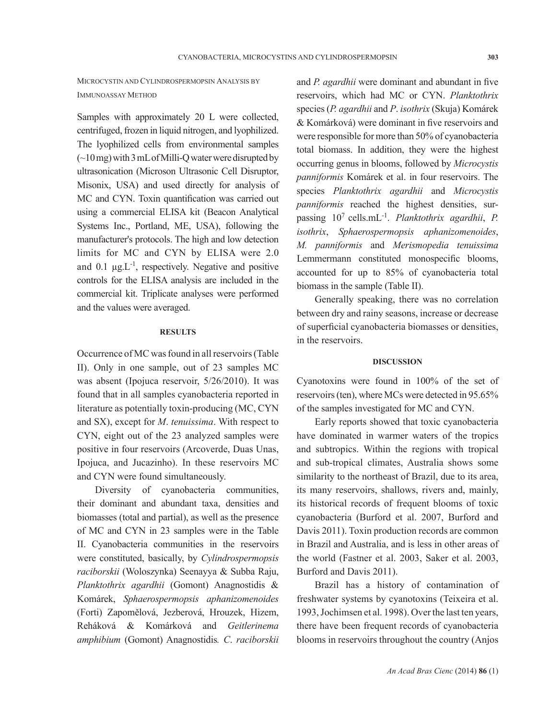# MICROCYSTIN AND CYLINDROSPERMOPSIN ANALYSIS BY IMMUNOASSAY METHOD

Samples with approximately 20 L were collected, centrifuged, frozen in liquid nitrogen, and lyophilized. The lyophilized cells from environmental samples (~10 mg) with 3 mL of Milli-Q water were disrupted by ultrasonication (Microson Ultrasonic Cell Disruptor, Misonix, USA) and used directly for analysis of MC and CYN. Toxin quantification was carried out using a commercial ELISA kit (Beacon Analytical Systems Inc., Portland, ME, USA), following the manufacturer's protocols. The high and low detection limits for MC and CYN by ELISA were 2.0 and 0.1  $\mu$ g.L<sup>-1</sup>, respectively. Negative and positive controls for the ELISA analysis are included in the commercial kit. Triplicate analyses were performed and the values were averaged.

### **RESULTS**

Occurrence of MC was found in all reservoirs (Table II). Only in one sample, out of 23 samples MC was absent (Ipojuca reservoir, 5/26/2010). It was found that in all samples cyanobacteria reported in literature as potentially toxin-producing (MC, CYN and SX), except for *M*. *tenuissima*. With respect to CYN, eight out of the 23 analyzed samples were positive in four reservoirs (Arcoverde, Duas Unas, Ipojuca, and Jucazinho). In these reservoirs MC and CYN were found simultaneously.

Diversity of cyanobacteria communities, their dominant and abundant taxa, densities and biomasses (total and partial), as well as the presence of MC and CYN in 23 samples were in the Table II. Cyanobacteria communities in the reservoirs were constituted, basically, by *Cylindrospermopsis raciborskii* (Woloszynka) Seenayya & Subba Raju, *Planktothrix agardhii* (Gomont) Anagnostidis & Komárek, *Sphaerospermopsis aphanizomenoides*  (Forti) Zapomělová, Jezberová, Hrouzek, Hizem, Reháková & Komárková and *Geitlerinema amphibium* (Gomont) Anagnostidis*. C*. *raciborskii*

and *P. agardhii* were dominant and abundant in five reservoirs, which had MC or CYN. *Planktothrix* species (*P. agardhii* and *P*. *isothrix* (Skuja) Komárek & Komárková) were dominant in five reservoirs and were responsible for more than 50% of cyanobacteria total biomass. In addition, they were the highest occurring genus in blooms, followed by *Microcystis panniformis* Komárek et al. in four reservoirs. The species *Planktothrix agardhii* and *Microcystis panniformis* reached the highest densities, surpassing 107 cells.mL-1. *Planktothrix agardhii*, *P. isothrix*, *Sphaerospermopsis aphanizomenoides*, *M. panniformis* and *Merismopedia tenuissima* Lemmermann constituted monospecific blooms, accounted for up to 85% of cyanobacteria total biomass in the sample (Table II).

Generally speaking, there was no correlation between dry and rainy seasons, increase or decrease of superficial cyanobacteria biomasses or densities, in the reservoirs.

### **DISCUSSION**

Cyanotoxins were found in 100% of the set of reservoirs (ten), where MCs were detected in 95.65% of the samples investigated for MC and CYN.

Early reports showed that toxic cyanobacteria have dominated in warmer waters of the tropics and subtropics. Within the regions with tropical and sub-tropical climates, Australia shows some similarity to the northeast of Brazil, due to its area, its many reservoirs, shallows, rivers and, mainly, its historical records of frequent blooms of toxic cyanobacteria (Burford et al. 2007, Burford and Davis 2011). Toxin production records are common in Brazil and Australia, and is less in other areas of the world (Fastner et al. 2003, Saker et al. 2003, Burford and Davis 2011).

Brazil has a history of contamination of freshwater systems by cyanotoxins (Teixeira et al. 1993, Jochimsen et al. 1998). Over the last ten years, there have been frequent records of cyanobacteria blooms in reservoirs throughout the country (Anjos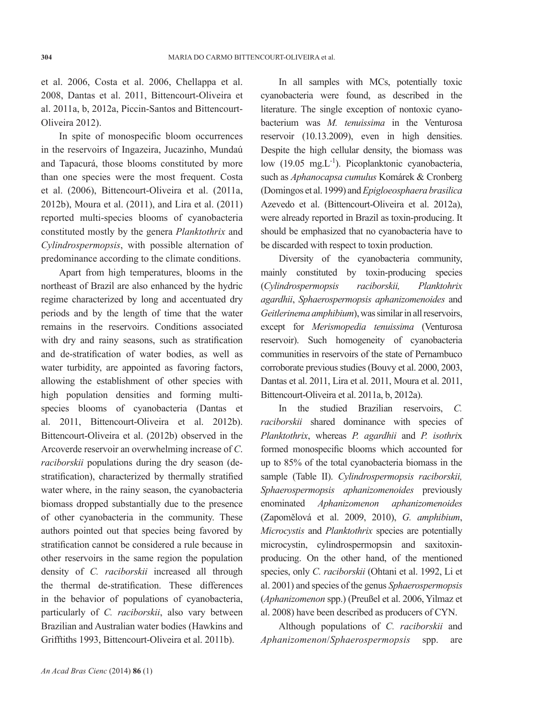et al. 2006, Costa et al. 2006, Chellappa et al. 2008, Dantas et al. 2011, Bittencourt-Oliveira et al. 2011a, b, 2012a, Piccin-Santos and Bittencourt-Oliveira 2012).

In spite of monospecific bloom occurrences in the reservoirs of Ingazeira, Jucazinho, Mundaú and Tapacurá, those blooms constituted by more than one species were the most frequent. Costa et al. (2006), Bittencourt-Oliveira et al. (2011a, 2012b), Moura et al. (2011), and Lira et al. (2011) reported multi-species blooms of cyanobacteria constituted mostly by the genera *Planktothrix* and *Cylindrospermopsis*, with possible alternation of predominance according to the climate conditions.

Apart from high temperatures, blooms in the northeast of Brazil are also enhanced by the hydric regime characterized by long and accentuated dry periods and by the length of time that the water remains in the reservoirs. Conditions associated with dry and rainy seasons, such as stratification and de-stratification of water bodies, as well as water turbidity, are appointed as favoring factors, allowing the establishment of other species with high population densities and forming multispecies blooms of cyanobacteria (Dantas et al. 2011, Bittencourt-Oliveira et al. 2012b). Bittencourt-Oliveira et al. (2012b) observed in the Arcoverde reservoir an overwhelming increase of *C*. *raciborskii* populations during the dry season (destratification), characterized by thermally stratified water where, in the rainy season, the cyanobacteria biomass dropped substantially due to the presence of other cyanobacteria in the community. These authors pointed out that species being favored by stratification cannot be considered a rule because in other reservoirs in the same region the population density of *C. raciborskii* increased all through the thermal de-stratification. These differences in the behavior of populations of cyanobacteria, particularly of *C. raciborskii*, also vary between Brazilian and Australian water bodies (Hawkins and Grifftiths 1993, Bittencourt-Oliveira et al. 2011b).

In all samples with MCs, potentially toxic cyanobacteria were found, as described in the literature. The single exception of nontoxic cyanobacterium was *M. tenuissima* in the Venturosa reservoir (10.13.2009), even in high densities. Despite the high cellular density, the biomass was low  $(19.05 \text{ mg.L}^{-1})$ . Picoplanktonic cyanobacteria, such as *Aphanocapsa cumulus* Komárek & Cronberg (Domingos et al. 1999) and *Epigloeosphaera brasilica*  Azevedo et al. (Bittencourt-Oliveira et al. 2012a), were already reported in Brazil as toxin-producing. It should be emphasized that no cyanobacteria have to be discarded with respect to toxin production.

Diversity of the cyanobacteria community, mainly constituted by toxin-producing species (*Cylindrospermopsis raciborskii, Planktohrix agardhii*, *Sphaerospermopsis aphanizomenoides* and *Geitlerinema amphibium*), was similar in all reservoirs, except for *Merismopedia tenuissima* (Venturosa reservoir). Such homogeneity of cyanobacteria communities in reservoirs of the state of Pernambuco corroborate previous studies (Bouvy et al. 2000, 2003, Dantas et al. 2011, Lira et al. 2011, Moura et al. 2011, Bittencourt-Oliveira et al. 2011a, b, 2012a).

In the studied Brazilian reservoirs, *C. raciborskii* shared dominance with species of *Planktothrix*, whereas *P. agardhii* and *P. isothri*x formed monospecific blooms which accounted for up to 85% of the total cyanobacteria biomass in the sample (Table II). *Cylindrospermopsis raciborskii, Sphaerospermopsis aphanizomenoides* previously enominated *Aphanizomenon aphanizomenoides* (Zapomělová et al. 2009, 2010), *G. amphibium*, *Microcystis* and *Planktothrix* species are potentially microcystin, cylindrospermopsin and saxitoxinproducing. On the other hand, of the mentioned species, only *C. raciborskii* (Ohtani et al. 1992, Li et al. 2001) and species of the genus *Sphaerospermopsis*  (*Aphanizomenon* spp.) (Preußel et al. 2006, Yilmaz et al. 2008) have been described as producers of CYN.

Although populations of *C. raciborskii* and *Aphanizomenon*/*Sphaerospermopsis* spp. are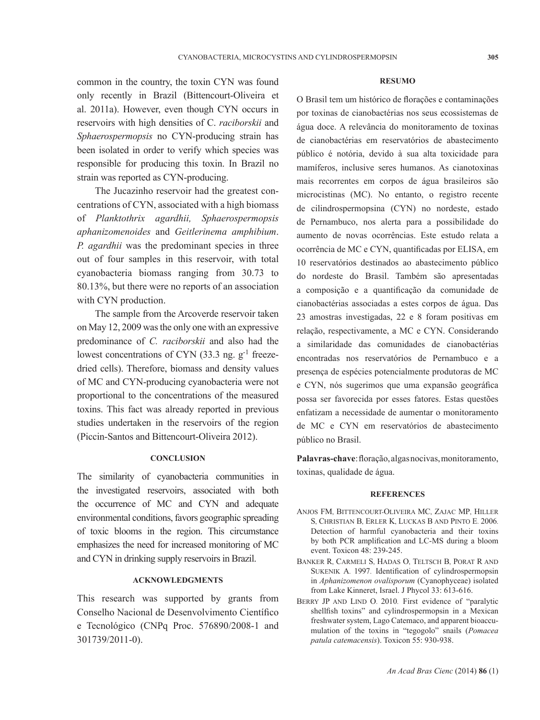common in the country, the toxin CYN was found only recently in Brazil (Bittencourt-Oliveira et al. 2011a). However, even though CYN occurs in reservoirs with high densities of C. *raciborskii* and *Sphaerospermopsis* no CYN-producing strain has been isolated in order to verify which species was responsible for producing this toxin. In Brazil no strain was reported as CYN-producing.

The Jucazinho reservoir had the greatest concentrations of CYN, associated with a high biomass of *Planktothrix agardhii, Sphaerospermopsis aphanizomenoides* and *Geitlerinema amphibium*. *P. agardhii* was the predominant species in three out of four samples in this reservoir, with total cyanobacteria biomass ranging from 30.73 to 80.13%, but there were no reports of an association with CYN production.

The sample from the Arcoverde reservoir taken on May 12, 2009 was the only one with an expressive predominance of *C. raciborskii* and also had the lowest concentrations of CYN  $(33.3 \text{ ne. } e^{-1})$  freezedried cells). Therefore, biomass and density values of MC and CYN-producing cyanobacteria were not proportional to the concentrations of the measured toxins. This fact was already reported in previous studies undertaken in the reservoirs of the region (Piccin-Santos and Bittencourt-Oliveira 2012).

### **CONCLUSION**

The similarity of cyanobacteria communities in the investigated reservoirs, associated with both the occurrence of MC and CYN and adequate environmental conditions, favors geographic spreading of toxic blooms in the region. This circumstance emphasizes the need for increased monitoring of MC and CYN in drinking supply reservoirs in Brazil.

## **ACKNOWLEDGMENTS**

This research was supported by grants from Conselho Nacional de Desenvolvimento Científico e Tecnológico (CNPq Proc. 576890/2008-1 and 301739/2011-0).

#### **RESUMO**

O Brasil tem um histórico de florações e contaminações por toxinas de cianobactérias nos seus ecossistemas de água doce. A relevância do monitoramento de toxinas de cianobactérias em reservatórios de abastecimento público é notória, devido à sua alta toxicidade para mamíferos, inclusive seres humanos. As cianotoxinas mais recorrentes em corpos de água brasileiros são microcistinas (MC). No entanto, o registro recente de cilindrospermopsina (CYN) no nordeste, estado de Pernambuco, nos alerta para a possibilidade do aumento de novas ocorrências. Este estudo relata a ocorrência de MC e CYN, quantificadas por ELISA, em 10 reservatórios destinados ao abastecimento público do nordeste do Brasil. Também são apresentadas a composição e a quantificação da comunidade de cianobactérias associadas a estes corpos de água. Das 23 amostras investigadas, 22 e 8 foram positivas em relação, respectivamente, a MC e CYN. Considerando a similaridade das comunidades de cianobactérias encontradas nos reservatórios de Pernambuco e a presença de espécies potencialmente produtoras de MC e CYN, nós sugerimos que uma expansão geográfica possa ser favorecida por esses fatores. Estas questões enfatizam a necessidade de aumentar o monitoramento de MC e CYN em reservatórios de abastecimento público no Brasil.

**Palavras-chave**: floração, algas nocivas, monitoramento, toxinas, qualidade de água.

### **REFERENCES**

- Anjos FM, Bittencourt-Oliveira MC, Zajac MP, Hiller S, Christian B, Erler K, Luckas B and Pinto E. 2006. Detection of harmful cyanobacteria and their toxins by both PCR amplification and LC-MS during a bloom event. Toxicon 48: 239-245.
- Banker R, Carmeli S, Hadas O, Teltsch B, Porat R and Sukenik A. 1997. Identification of cylindrospermopsin in *Aphanizomenon ovalisporum* (Cyanophyceae) isolated from Lake Kinneret, Israel. J Phycol 33: 613-616.
- BERRY JP AND LIND O. 2010. First evidence of "paralytic shellfish toxins" and cylindrospermopsin in a Mexican freshwater system, Lago Catemaco, and apparent bioaccumulation of the toxins in "tegogolo" snails (*Pomacea patula catemacensis*). Toxicon 55: 930-938.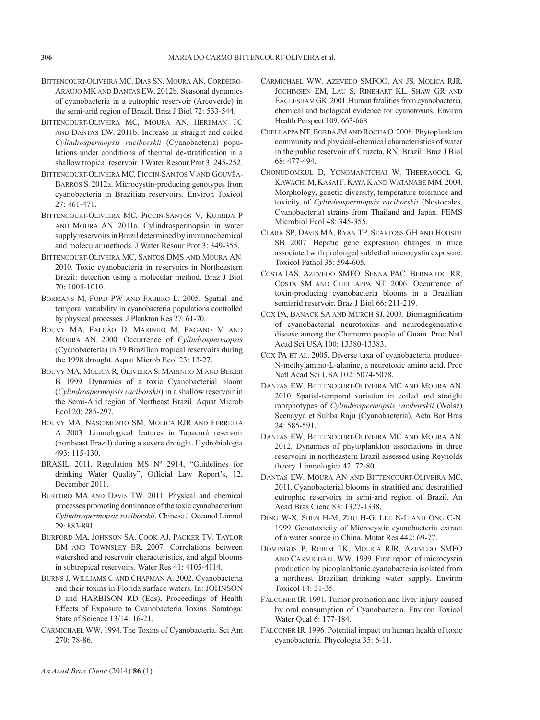- Bittencourt-Oliveira MC, Dias SN, Moura AN, Cordeiro-Araújo MKand Dantas EW. 2012b. Seasonal dynamics of cyanobacteria in a eutrophic reservoir (Arcoverde) in the semi-arid region of Brazil. Braz J Biol 72: 533-544.
- Bittencourt-Oliveira MC, Moura AN, Hereman TC and Dantas EW. 2011b. Increase in straight and coiled *Cylindrospermopsis raciborskii* (Cyanobacteria) populations under conditions of thermal de-stratification in a shallow tropical reservoir. J Water Resour Prot 3: 245-252.
- Bittencourt-Oliveira MC, Piccin-Santos V and Gouvêa-Barros S. 2012a. Microcystin-producing genotypes from cyanobacteria in Brazilian reservoirs. Environ Toxicol  $27 \cdot 461 - 471$
- Bittencourt-Oliveira MC, Piccin-Santos V, Kujbida P and Moura AN. 2011a. Cylindrospermopsin in water supply reservoirs in Brazil determined by immunochemical and molecular methods. J Water Resour Prot 3: 349-355.
- Bittencourt-Oliveira MC, Santos DMS and Moura AN. 2010. Toxic cyanobacteria in reservoirs in Northeastern Brazil: detection using a molecular method. Braz J Biol 70: 1005-1010.
- Bormans M, Ford PW and Fabbro L. 2005. Spatial and temporal variability in cyanobacteria populations controlled by physical processes. J Plankton Res 27: 61-70.
- Bouvy MA, Falcão D, Marinho M, Pagano M and Moura AN. 2000. Occurrence of *Cylindrospermopsis*  (Cyanobacteria) in 39 Brazilian tropical reservoirs during the 1998 drought. Aquat Microb Ecol 23: 13-27.
- Bouvy MA, Molica R, Oliveira S, Marinho M and Beker B. 1999. Dynamics of a toxic Cyanobacterial bloom (*Cylindrospermopsis raciborskii*) in a shallow reservoir in the Semi-Arid region of Northeast Brazil. Aquat Microb Ecol 20: 285-297.
- Bouvy MA, Nascimento SM, Molica RJR and Ferreira A. 2003. Limnological features in Tapacurá reservoir (northeast Brazil) during a severe drought. Hydrobiologia 493: 115-130.
- BRASIL. 2011. Regulation MS Nº 2914, "Guidelines for drinking Water Quality", Official Law Report's, 12, December 2011.
- Burford MA and Davis TW. 2011. Physical and chemical processes promoting dominance of the toxic cyanobacterium *Cylindrospermopsis raciborskii*. Chinese J Oceanol Limnol 29: 883-891.
- Burford MA, Johnson SA, Cook AJ, Packer TV, Taylor BM AND TOWNSLEY ER. 2007. Correlations between watershed and reservoir characteristics, and algal blooms in subtropical reservoirs. Water Res 41: 4105-4114.
- Burns J, Williams C and Chapman A. 2002. Cyanobacteria and their toxins in Florida surface waters. In: JOHNSON D and HARBISON RD (Eds), Proceedings of Health Effects of Exposure to Cyanobacteria Toxins. Saratoga: State of Science 13/14: 16-21.
- Carmichael WW. 1994. The Toxins of Cyanobacteria. Sci Am 270: 78-86.
- Carmichael WW, Azevedo SMFOo, An JS, Molica RJR, Jochimsen EM, Lau S, Rinehart KL, Shaw Gr and Eaglesham GK. 2001. Human fatalities from cyanobacteria, chemical and biological evidence for cyanotoxins. Environ Health Perspect 109: 663-668.
- ChellappaNT, BorbaJMand RochaO. 2008. Phytoplankton community and physical-chemical characteristics of water in the public reservoir of Cruzeta, RN, Brazil. Braz J Biol 68: 477-494.
- Chonudomkul D, Yongmanitchai W, Theeragool G, Kawachi M, Kasai F, Kaya Kand Watanabe MM. 2004. Morphology, genetic diversity, temperature tolerance and toxicity of *Cylindrospermopsis raciborskii* (Nostocales, Cyanobacteria) strains from Thailand and Japan. FEMS Microbiol Ecol 48: 345-355.
- Clark SP, Davis MA, Ryan TP, Searfoss GH and Hooser SB. 2007. Hepatic gene expression changes in mice associated with prolonged sublethal microcystin exposure. Toxicol Pathol 35: 594-605.
- Costa IAS, Azevedo SMFO, Senna PAC, Bernardo RR, Costa SM and Chellappa NT. 2006. Occurrence of toxin-producing cyanobacteria blooms in a Brazilian semiarid reservoir. Braz J Biol 66: 211-219.
- Cox PA, Banack SA and Murch SJ. 2003. Biomagnification of cyanobacterial neurotoxins and neurodegenerative disease among the Chamorro people of Guam. Proc Natl Acad Sci USA 100: 13380-13383.
- COX PA ET AL. 2005. Diverse taxa of cyanobacteria produce-N-methylamino-L-alanine, a neurotoxic amino acid. Proc Natl Acad Sci USA 102: 5074-5078.
- Dantas EW, Bittencourt-Oliveira MC and Moura AN. 2010. Spatial-temporal variation in coiled and straight morphotypes of *Cylindrospermopsis raciborskii* (Wolsz) Seenayya et Subba Raju (Cyanobacteria). Acta Bot Bras 24: 585-591.
- Dantas EW, Bittencourt-Oliveira MC and Moura AN. 2012. Dynamics of phytoplankton associations in three reservoirs in northeastern Brazil assessed using Reynolds theory. Limnologica 42: 72-80.
- Dantas EW, Moura AN and Bittencourt-Oliveira MC. 2011. Cyanobacterial blooms in stratified and destratified eutrophic reservoirs in semi-arid region of Brazil. An Acad Bras Cienc 83: 1327-1338.
- Ding W-X, Shen H-M, Zhu H-G, Lee N-L and Ong C-N. 1999. Genotoxicity of Microcystic cyanobacteria extract of a water source in China. Mutat Res 442: 69-77.
- Domingos P, Rubim TK, Molica RJR, Azevedo SMFO and Carmichael WW. 1999. First report of microcystin production by picoplanktonic cyanobacteria isolated from a northeast Brazilian drinking water supply. Environ Toxicol 14: 31-35.
- FALCONER IR. 1991. Tumor promotion and liver injury caused by oral consumption of Cyanobacteria. Environ Toxicol Water Qual 6: 177-184.
- Falconer IR. 1996. Potential impact on human health of toxic cyanobacteria. Phycologia 35: 6-11.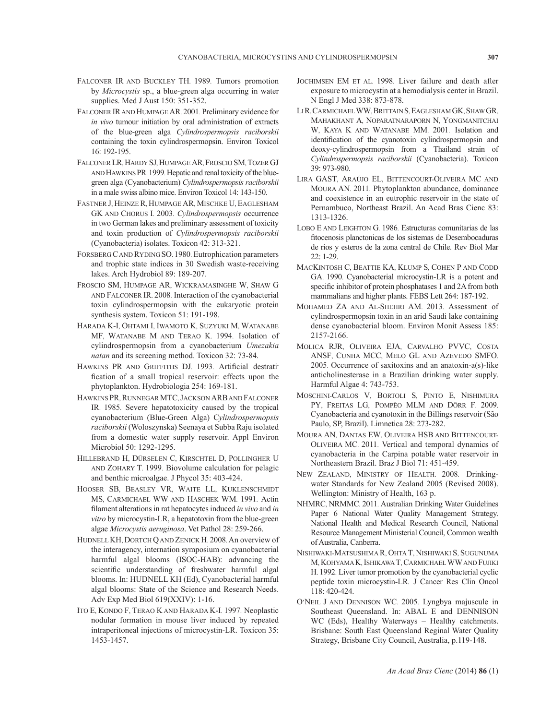- Falconer IR and Buckley TH. 1989. Tumors promotion by *Microcystis* sp., a blue-green alga occurring in water supplies. Med J Aust 150: 351-352.
- Falconer IRand Humpage AR. 2001. Preliminary evidence for *in vivo* tumour initiation by oral administration of extracts of the blue-green alga *Cylindrospermopsis raciborskii*  containing the toxin cylindrospermopsin. Environ Toxicol 16: 192-195.
- FALCONER LR, HARDY SJ, HUMPAGE AR, FROSCIO SM, TOZER GJ AND HAWKINS PR. 1999. Hepatic and renal toxicity of the bluegreen alga (Cyanobacterium) *Cylindrospermopsis raciborskii*  in a male swiss albino mice. Environ Toxicol 14: 143-150.
- Fastner J, Heinze R, Humpage AR, Mischke U, Eaglesham GK and Chorus I. 2003. *Cylindrospermopsis* occurrence in two German lakes and preliminary assessment of toxicity and toxin production of *Cylindrospermopsis raciborskii*  (Cyanobacteria) isolates. Toxicon 42: 313-321.
- FORSBERG CAND RYDING SO. 1980. Eutrophication parameters and trophic state indices in 30 Swedish waste-receiving lakes. Arch Hydrobiol 89: 189-207.
- Froscio SM, Humpage AR, Wickramasinghe W, Shaw G and Falconer IR. 2008. Interaction of the cyanobacterial toxin cylindrospermopsin with the eukaryotic protein synthesis system. Toxicon 51: 191-198.
- Harada K-I, Ohtami I, Iwamoto K, Suzyuki M, Watanabe MF, Watanabe M and Terao K. 1994. Isolation of cylindrospermopsin from a cyanobacterium *Umezakia natan* and its screening method. Toxicon 32: 73-84.
- Hawkins PR and Griffiths DJ. 1993. Artificial destratification of a small tropical reservoir: effects upon the phytoplankton. Hydrobiologia 254: 169-181.
- Hawkins PR, RunnegarMTC, Jackson ARBand Falconer IR. 1985. Severe hepatotoxicity caused by the tropical cyanobacterium (Blue-Green Alga) C*ylindrospermopsis raciborskii* (Woloszynska) Seenaya et Subba Raju isolated from a domestic water supply reservoir. Appl Environ Microbiol 50: 1292-1295.
- Hillebrand H, Dürselen C, Kirschtel D, Pollingher U and Zohary T. 1999. Biovolume calculation for pelagic and benthic microalgae. J Phycol 35: 403-424.
- Hooser SB, Beasley VR, Waite LL, Kuklenschmidt MS, Carmichael WW and Haschek WM. 1991. Actin filament alterations in rat hepatocytes induced *in vivo* and *in vitro* by microcystin-LR, a hepatotoxin from the blue-green algae *Microcystis aeruginosa*. Vet Pathol 28: 259-266.
- HUDNELL KH, DORTCH Q AND ZENICK H. 2008. An overview of the interagency, internation symposium on cyanobacterial harmful algal blooms (ISOC-HAB): advancing the scientific understanding of freshwater harmful algal blooms. In: HUDNELL KH (Ed), Cyanobacterial harmful algal blooms: State of the Science and Research Needs. Adv Exp Med Biol 619(XXIV): 1-16.
- Ito E, Kondo F, Terao K and Harada K-I. 1997. Neoplastic nodular formation in mouse liver induced by repeated intraperitoneal injections of microcystin-LR. Toxicon 35: 1453-1457.
- JOCHIMSEN EM ET AL. 1998. Liver failure and death after exposure to microcystin at a hemodialysis center in Brazil. N Engl J Med 338: 873-878.
- LiR, CarmichaelWW, BrittainS, EagleshamGK, ShawGR, Mahakhant A, Noparatnaraporn N, Yongmanitchai W, Kaya K and Watanabe MM. 2001. Isolation and identification of the cyanotoxin cylindrospermopsin and deoxy-cylindrospermopsin from a Thailand strain of *Cylindrospermopsis raciborskii* (Cyanobacteria). Toxicon 39: 973-980.
- Lira GAST, Araújo EL, Bittencourt-Oliveira MC and Moura AN. 2011. Phytoplankton abundance, dominance and coexistence in an eutrophic reservoir in the state of Pernambuco, Northeast Brazil. An Acad Bras Cienc 83: 1313-1326.
- Lobo E and Leighton G. 1986. Estructuras comunitarias de las fitocenosis planctonicas de los sistemas de Desembocaduras de rios y esteros de la zona central de Chile. Rev Biol Mar 22: 1-29.
- MacKintosh C, Beattie KA, Klump S, Cohen P and Codd GA. 1990. Cyanobacterial microcystin-LR is a potent and specific inhibitor of protein phosphatases 1 and 2A from both mammalians and higher plants. FEBS Lett 264: 187-192.
- Mohamed ZA and Al-Shehri AM. 2013. Assessment of cylindrospermopsin toxin in an arid Saudi lake containing dense cyanobacterial bloom. Environ Monit Assess 185: 2157-2166.
- Molica RJR, Oliveira EJA, Carvalho PVVC, Costa ANSF, Cunha MCC, Melo GL and Azevedo SMFO. 2005. Occurrence of saxitoxins and an anatoxin-a(s)-like anticholinesterase in a Brazilian drinking water supply. Harmful Algae 4: 743-753.
- Moschini-Carlos V, Bortoli S, Pinto E, Nishimura PY, Freitas LG, Pompêo MLM and Dörr F. 2009. Cyanobacteria and cyanotoxin in the Billings reservoir (São Paulo, SP, Brazil). Limnetica 28: 273-282.
- Moura AN, Dantas EW, Oliveira HSB and Bittencourt-Oliveira MC. 2011. Vertical and temporal dynamics of cyanobacteria in the Carpina potable water reservoir in Northeastern Brazil. Braz J Biol 71: 451-459.
- NEW ZEALAND, Ministry of Health. 2008. Drinkingwater Standards for New Zealand 2005 (Revised 2008). Wellington: Ministry of Health, 163 p.
- NHMRC, NRMMC. 2011. Australian Drinking Water Guidelines Paper 6 National Water Quality Management Strategy. National Health and Medical Research Council, National Resource Management Ministerial Council, Common wealth of Australia, Canberra.
- Nishiwaki-Matsushima R, Ohta T, Nishiwaki S, Sugunuma M, KOHYAMAK, ISHIKAWAT, CARMICHAEL WWAND FUJIKI H. 1992. Liver tumor promotion by the cyanobacterial cyclic peptide toxin microcystin-LR*.* J Cancer Res Clin Oncol 118: 420-424.
- O'Neil J and Dennison WC. 2005. Lyngbya majuscule in Southeast Queensland. In: ABAL E and DENNISON WC (Eds), Healthy Waterways - Healthy catchments. Brisbane: South East Queensland Reginal Water Quality Strategy, Brisbane City Council, Australia, p.119-148.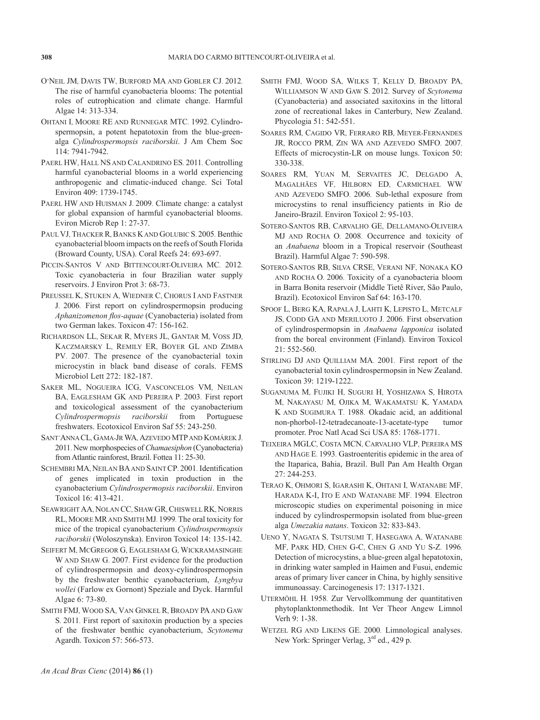- O'Neil JM, Davis TW, Burford MA and Gobler CJ. 2012. The rise of harmful cyanobacteria blooms: The potential roles of eutrophication and climate change. Harmful Algae 14: 313-334.
- Ohtani I, Moore RE and Runnegar MTC. 1992. Cylindrospermopsin, a potent hepatotoxin from the blue-greenalga *Cylindrospermopsis raciborskii*. J Am Chem Soc 114: 7941-7942.
- Paerl HW, Hall NS and Calandrino ES. 2011. Controlling harmful cyanobacterial blooms in a world experiencing anthropogenic and climatic-induced change. Sci Total Environ 409: 1739-1745.
- Paerl HW and Huisman J. 2009. Climate change: a catalyst for global expansion of harmful cyanobacterial blooms. Eviron Microb Rep 1: 27-37.
- PAUL VJ, THACKER R, BANKS KAND GOLUBIC S. 2005. Benthic cyanobacterial bloom impacts on the reefs of South Florida (Broward County, USA). Coral Reefs 24: 693-697.
- Piccin-Santos V and Bittencourt-Oliveira MC. 2012. Toxic cyanobacteria in four Brazilian water supply reservoirs. J Environ Prot 3: 68-73.
- PreuSSel K, Stuken A, Wiedner C, Chorus I and Fastner J. 2006. First report on cylindrospermopsin producing *Aphanizomenon flos-aquae* (Cyanobacteria) isolated from two German lakes. Toxicon 47: 156-162.
- Richardson LL, Sekar R, Myers JL, Gantar M, Voss JD, Kaczmarsky L, Remily ER, Boyer GL and Zimba PV. 2007. The presence of the cyanobacterial toxin microcystin in black band disease of corals. FEMS Microbiol Lett 272: 182-187.
- Saker ML, Nogueira ICG, Vasconcelos VM, Neilan BA, Eaglesham GK and Pereira P. 2003. First report and toxicological assessment of the cyanobacterium *Cylindrospermopsis raciborskii* from Portuguese freshwaters. Ecotoxicol Environ Saf 55: 243-250.
- Sant´AnnaCL, Gama-JrWA, Azevedo MTPand Komárek J. 2011. New morphospecies of *Chamaesiphon* (Cyanobacteria) from Atlantic rainforest, Brazil. Fottea 11: 25-30.
- SCHEMBRI MA, NEILAN BA AND SAINT CP. 2001. Identification of genes implicated in toxin production in the cyanobacterium *Cylindrospermopsis raciborskii*. Environ Toxicol 16: 413-421.
- SEAWRIGHT AA, NOLAN CC, SHAW GR, CHISWELL RK, NORRIS RL, Moore MRand Smith MJ. 1999. The oral toxicity for mice of the tropical cyanobacterium *Cylindrospermopsis raciborskii* (Woloszynska). Environ Toxicol 14: 135-142.
- Seifert M, McGregor G, Eaglesham G, Wickramasinghe W AND SHAW G. 2007. First evidence for the production of cylindrospermopsin and deoxy-cylindrospermopsin by the freshwater benthic cyanobacterium, *Lyngbya wollei* (Farlow ex Gornont) Speziale and Dyck. Harmful Algae 6: 73-80.
- Smith FMJ, Wood SA, Van Ginkel R, Broady PA and Gaw S. 2011. First report of saxitoxin production by a species of the freshwater benthic cyanobacterium, *Scytonema* Agardh. Toxicon 57: 566-573.
- Smith FMJ, Wood SA, Wilks T, Kelly D, Broady PA, Williamson W and Gaw S. 2012. Survey of *Scytonema* (Cyanobacteria) and associated saxitoxins in the littoral zone of recreational lakes in Canterbury, New Zealand. Phycologia 51: 542-551.
- Soares RM, Cagido VR, Ferraro RB, Meyer-Fernandes JR, Rocco PRM, Zin WA and Azevedo SMFO. 2007. Effects of microcystin-LR on mouse lungs. Toxicon 50: 330-338.
- Soares RM, Yuan M, Servaites JC, Delgado A, Magalhães VF, Hilborn ED, Carmichael WW and Azevedo SMFO. 2006. Sub-lethal exposure from microcystins to renal insufficiency patients in Rio de Janeiro-Brazil. Environ Toxicol 2: 95-103.
- Sotero-Santos RB, Carvalho GE, Dellamano-Oliveira MJ and Rocha O. 2008. Occurrence and toxicity of an *Anabaena* bloom in a Tropical reservoir (Southeast Brazil). Harmful Algae 7: 590-598.
- Sotero-Santos RB, Silva CRSE, Verani NF, Nonaka KO and Rocha O. 2006. Toxicity of a cyanobacteria bloom in Barra Bonita reservoir (Middle Tietê River, São Paulo, Brazil). Ecotoxicol Environ Saf 64: 163-170.
- Spoof L, Berg KA, Rapala J, Lahti K, Lepisto L, Metcalf JS, CODD GA AND MERILUOTO J. 2006. First observation of cylindrospermopsin in *Anabaena lapponica* isolated from the boreal environment (Finland). Environ Toxicol 21: 552-560.
- Stirling DJ and Quilliam MA. 2001. First report of the cyanobacterial toxin cylindrospermopsin in New Zealand. Toxicon 39: 1219-1222.
- Suganuma M, Fujiki H, Suguri H, Yoshizawa S, Hirota M, Nakayasu M, Ojika M, Wakamatsu K, Yamada K AND SUGIMURA T. 1988. Okadaic acid, an additional non-phorbol-12-tetradecanoate-13-acetate-type tumor promoter. Proc Natl Acad Sci USA 85: 1768-1771.
- Teixeira MGLC, Costa MCN, Carvalho VLP, Pereira MS and Hage E. 1993. Gastroenteritis epidemic in the area of the Itaparica, Bahia, Brazil. Bull Pan Am Health Organ 27: 244-253.
- Terao K, Ohmori S, Igarashi K, Ohtani I, Watanabe MF, Harada K-I, Ito E and Watanabe MF. 1994. Electron microscopic studies on experimental poisoning in mice induced by cylindrospermopsin isolated from blue-green alga *Umezakia natans*. Toxicon 32: 833-843.
- Ueno Y, Nagata S, Tsutsumi T, Hasegawa A, Watanabe MF, Park HD, Chen G-C, Chen G and Yu S-Z. 1996. Detection of microcystins, a blue-green algal hepatotoxin, in drinking water sampled in Haimen and Fusui, endemic areas of primary liver cancer in China, by highly sensitive immunoassay. Carcinogenesis 17: 1317-1321.
- Utermöhl H. 1958. Zur Vervollkommung der quantitativen phytoplanktonmethodik. Int Ver Theor Angew Limnol Verh 9: 1-38.
- Wetzel RG and Likens GE. 2000. Limnological analyses. New York: Springer Verlag,  $3<sup>rd</sup>$  ed., 429 p.